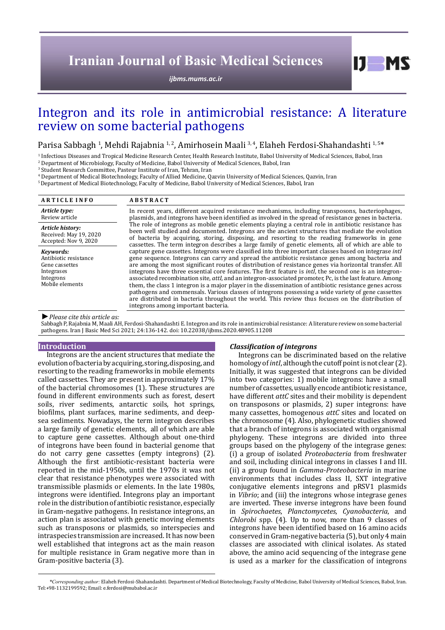# **Iranian Journal of Basic Medical Sciences**

*[ijbms.mums.ac.ir](http://ijbms.mums.ac.ir)*

# Integron and its role in antimicrobial resistance: A literature review on some bacterial pathogens

Parisa Sabbagh <sup>1</sup>, Mehdi Rajabnia <sup>1, 2</sup>, Amirhosein Maali <sup>3, 4</sup>, Elaheh Ferdosi-Shahandashti <sup>1, 5\*</sup><br>1 Infectious Diseases and Tropical Medicine Research Center. Health Research Institute. Babol University of Medical Sc

<sup>1</sup> Infectious Diseases and Tropical Medicine Research Center, Health Research Institute, Babol University of Medical Sciences, Babol, Iran

 $^2$  Department of Microbiology, Faculty of Medicine, Babol University of Medical Sciences, Babol, Iran

3 Student Research Committee, Pasteur Institute of Iran, Tehran, Iran

4 Department of Medical Biotechnology, Faculty of Allied Medicine, Qazvin University of Medical Sciences, Qazvin, Iran

5 Department of Medical Biotechnology, Faculty of Medicine, Babol University of Medical Sciences, Babol, Iran

| <b>ARTICLE INFO</b>                                                                                | <b>ABSTRACT</b>                                                                                                                                                                                                                                                                                                                                                                                                                                                                                                                                                                                                                                                                                                                                                                                                                                                                                                          |  |  |  |
|----------------------------------------------------------------------------------------------------|--------------------------------------------------------------------------------------------------------------------------------------------------------------------------------------------------------------------------------------------------------------------------------------------------------------------------------------------------------------------------------------------------------------------------------------------------------------------------------------------------------------------------------------------------------------------------------------------------------------------------------------------------------------------------------------------------------------------------------------------------------------------------------------------------------------------------------------------------------------------------------------------------------------------------|--|--|--|
| Article type:<br>Review article                                                                    | In recent years, different acquired resistance mechanisms, including transposons, bacteriophages,<br>plasmids, and integrons have been identified as involved in the spread of resistance genes in bacteria.                                                                                                                                                                                                                                                                                                                                                                                                                                                                                                                                                                                                                                                                                                             |  |  |  |
| Article history:<br>Received: May 19, 2020<br>Accepted: Nov 9, 2020                                | The role of integrons as mobile genetic elements playing a central role in antibiotic resistance has<br>been well studied and documented. Integrons are the ancient structures that mediate the evolution<br>of bacteria by acquiring, storing, disposing, and resorting to the reading frameworks in gene<br>cassettes. The term integron describes a large family of genetic elements, all of which are able to                                                                                                                                                                                                                                                                                                                                                                                                                                                                                                        |  |  |  |
| Kevwords:<br>Antibiotic resistance<br>Gene cassettes<br>Integrases<br>Integrons<br>Mobile elements | capture gene cassettes. Integrons were classified into three important classes based on integrase intl<br>gene sequence. Integrons can carry and spread the antibiotic resistance genes among bacteria and<br>are among the most significant routes of distribution of resistance genes via horizontal transfer. All<br>integrons have three essential core features. The first feature is <i>intl</i> , the second one is an integron-<br>associated recombination site, <i>attl</i> , and an integron-associated promoter, Pc, is the last feature. Among<br>them, the class 1 integron is a major player in the dissemination of antibiotic resistance genes across<br>pathogens and commensals. Various classes of integrons possessing a wide variety of gene cassettes<br>are distributed in bacteria throughout the world. This review thus focuses on the distribution of<br>integrons among important bacteria. |  |  |  |

#### *►Please cite this article as:*

Sabbagh P, Rajabnia M, Maali AH, Ferdosi-Shahandashti E. Integron and its role in antimicrobial resistance: A literature review on some bacterial pathogens. Iran J Basic Med Sci 2021; 24:136-142. doi: 10.22038/ijbms.2020.48905.11208

#### **Introduction**

Integrons are the ancient structures that mediate the evolution of bacteria by acquiring, storing, disposing, and resorting to the reading frameworks in mobile elements called cassettes. They are present in approximately 17% of the bacterial chromosomes (1). These structures are found in different environments such as forest, desert soils, river sediments, antarctic soils, hot springs, biofilms, plant surfaces, marine sediments, and deepsea sediments. Nowadays, the term integron describes a large family of genetic elements, all of which are able to capture gene cassettes. Although about one-third of integrons have been found in bacterial genome that do not carry gene cassettes (empty integrons) (2). Although the first antibiotic-resistant bacteria were reported in the mid-1950s, until the 1970s it was not clear that resistance phenotypes were associated with transmissible plasmids or elements. In the late 1980s, integrons were identified. Integrons play an important role in the distribution of antibiotic resistance, especially in Gram-negative pathogens. In resistance integrons, an action plan is associated with genetic moving elements such as transposons or plasmids, so interspecies and intraspecies transmission are increased. It has now been well established that integrons act as the main reason for multiple resistance in Gram negative more than in Gram-positive bacteria (3).

#### *Classification of integrons*

Integrons can be discriminated based on the relative homology of *intI*, although the cutoff point is not clear (2). Initially, it was suggested that integrons can be divided into two categories: 1) mobile integrons: have a small number of cassettes, usually encode antibiotic resistance, have different *attC* sites and their mobility is dependent on transposons or plasmids, 2) super integrons: have many cassettes, homogenous *attC* sites and located on the chromosome (4). Also, phylogenetic studies showed that a branch of integrons is associated with organismal phylogeny. These integrons are divided into three groups based on the phylogeny of the integrase genes: (i) a group of isolated *Proteobacteria* from freshwater and soil, including clinical integrons in classes I and III. (ii) a group found in *Gamma-Proteobacteria* in marine environments that includes class II, SXT integrative conjugative elements integrons and pRSV1 plasmids in *Vibrio*; and (iii) the integrons whose integrase genes are inverted. These inverse integrons have been found in *Spirochaetes*, *Planctomycetes*, *Cyanobacteria*, and *Chlorobi* spp. (4). Up to now, more than 9 classes of integrons have been identified based on 16 amino acids conserved in Gram-negative bacteria (5), but only 4 main classes are associated with clinical isolates. As stated above, the amino acid sequencing of the integrase gene is used as a marker for the classification of integrons

 $D$  MS

*\*Corresponding author:* Elaheh Ferdosi-Shahandashti. Department of Medical Biotechnology, Faculty of Medicine, Babol University of Medical Sciences, Babol, Iran. Tel:+98-1132199592; Email: e.ferdosi@mubabol.ac.ir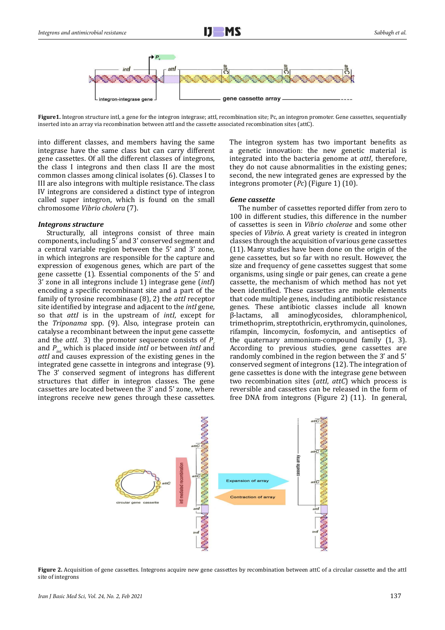

Figure1. Integron structure intl, a gene for the integron integrase; attl, recombination site; Pc, an integron promoter. Gene cassettes, sequentially inserted into an array via recombination between attI and the cassette associated recombination sites (attC).

into different classes, and members having the same integrase have the same class but can carry different gene cassettes. Of all the different classes of integrons, the class I integrons and then class II are the most common classes among clinical isolates (6). Classes I to III are also integrons with multiple resistance. The class IV integrons are considered a distinct type of integron called super integron, which is found on the small chromosome *Vibrio cholera* (7).

## *Integrons structure*

Structurally, all integrons consist of three main components, including 5′ and 3' conserved segment and a central variable region between the 5' and 3' zone, in which integrons are responsible for the capture and expression of exogenous genes, which are part of the gene cassette (1). Essential components of the 5' and 3' zone in all integrons include 1) integrase gene (*intI*) encoding a specific recombinant site and a part of the family of tyrosine recombinase (8), 2) the *attI* receptor site identified by integrase and adjacent to the *intI* gene, so that *attI* is in the upstream of *intI*, except for the *Triponama* spp. (9). Also, integrase protein can catalyse a recombinant between the input gene cassette and the *attl*. 3) the promoter sequence consists of *P* and *Pint* which is placed inside *intI* or between *intI* and *attI* and causes expression of the existing genes in the integrated gene cassette in integrons and integrase (9). The 3' conserved segment of integrons has different structures that differ in integron classes. The gene cassettes are located between the 3' and 5' zone, where integrons receive new genes through these cassettes.

The integron system has two important benefits as a genetic innovation: the new genetic material is integrated into the bacteria genome at *attI*, therefore, they do not cause abnormalities in the existing genes; second, the new integrated genes are expressed by the integrons promoter (*Pc*) (Figure 1) (10).

## *Gene cassette*

The number of cassettes reported differ from zero to 100 in different studies, this difference in the number of cassettes is seen in *Vibrio cholerae* and some other species of *Vibrio*. A great variety is created in integron classes through the acquisition of various gene cassettes (11). Many studies have been done on the origin of the gene cassettes, but so far with no result. However, the size and frequency of gene cassettes suggest that some organisms, using single or pair genes, can create a gene cassette, the mechanism of which method has not yet been identified. These cassettes are mobile elements that code multiple genes, including antibiotic resistance genes. These antibiotic classes include all known<br>B-lactams, all aminoglycosides, chloramphenicol, all aminoglycosides, chloramphenicol, trimethoprim, streptothricin, erythromycin, quinolones, rifampin, lincomycin, fosfomycin, and antiseptics of the quaternary ammonium-compound family (1, 3). According to previous studies, gene cassettes are randomly combined in the region between the 3' and 5' conserved segment of integrons (12). The integration of gene cassettes is done with the integrase gene between two recombination sites (*attI*, *attC*) which process is reversible and cassettes can be released in the form of free DNA from integrons (Figure 2) (11). In general,



**Figure 2.** Acquisition of gene cassettes. Integrons acquire new gene cassettes by recombination between attC of a circular cassette and the attI site of integrons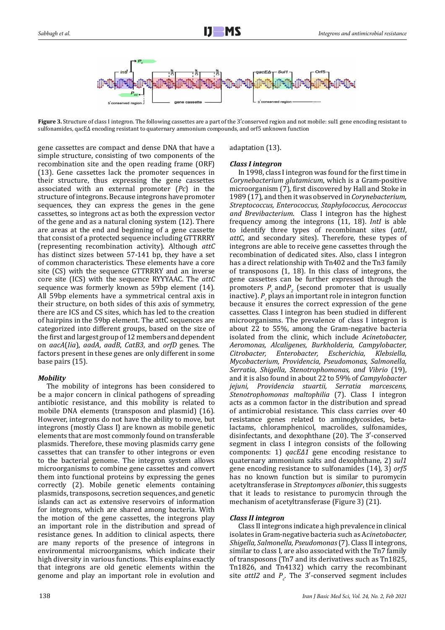

Figure 3. Structure of class I integron. The following cassettes are a part of the 3'conserved region and not mobile: sul1 gene encoding resistant to sulfonamides, qacEΔ encoding resistant to quaternary ammonium compounds, and orf5 unknown function

gene cassettes are compact and dense DNA that have a simple structure, consisting of two components of the recombination site and the open reading frame (ORF) (13). Gene cassettes lack the promoter sequences in their structure, thus expressing the gene cassettes associated with an external promoter (*Pc*) in the structure of integrons. Because integrons have promoter sequences, they can express the genes in the gene cassettes, so integrons act as both the expression vector of the gene and as a natural cloning system (12). There are areas at the end and beginning of a gene cassette that consist of a protected sequence including GTTRRRY (representing recombination activity). Although *attC* has distinct sizes between 57-141 bp, they have a set of common characteristics. These elements have a core site (CS) with the sequence GTTRRRY and an inverse core site (ICS) with the sequence RYYYAAC. The *attC* sequence was formerly known as 59bp element (14). All 59bp elements have a symmetrical central axis in their structure, on both sides of this axis of symmetry, there are ICS and CS sites, which has led to the creation of hairpins in the 59bp element. The attC sequences are categorized into different groups, based on the size of the first and largest group of 12 members and dependent on *aacA*(*Iia*), *aadA*, *aadB*, *CatB3*, and *orfD* genes. The factors present in these genes are only different in some base pairs (15).

# *Mobility*

The mobility of integrons has been considered to be a major concern in clinical pathogens of spreading antibiotic resistance, and this mobility is related to mobile DNA elements (transposon and plasmid) (16). However, integrons do not have the ability to move, but integrons (mostly Class I) are known as mobile genetic elements that are most commonly found on transferable plasmids. Therefore, these moving plasmids carry gene cassettes that can transfer to other integrons or even to the bacterial genome. The integron system allows microorganisms to combine gene cassettes and convert them into functional proteins by expressing the genes correctly (2). Mobile genetic elements containing plasmids, transposons, secretion sequences, and genetic islands can act as extensive reservoirs of information for integrons, which are shared among bacteria. With the motion of the gene cassettes, the integrons play an important role in the distribution and spread of resistance genes. In addition to clinical aspects, there are many reports of the presence of integrons in environmental microorganisms, which indicate their high diversity in various functions. This explains exactly that integrons are old genetic elements within the genome and play an important role in evolution and

# adaptation (13).

## *Class I integron*

In 1998, class I integron was found for the first time in *Corynebacterium glutamicum*, which is a Gram-positive microorganism (7), first discovered by Hall and Stoke in 1989 (17), and then it was observed in *Corynebacterium, Streptococcus, Enterococcus, Staphylococcus, Aerococcus and Brevibacterium*. Class I integron has the highest frequency among the integrons (11, 18). *IntI* is able to identify three types of recombinant sites (*attI*, *attC*, and secondary sites). Therefore, these types of integrons are able to receive gene cassettes through the recombination of dedicated sites. Also, class I integron has a direct relationship with Tn402 and the Tn3 family of transposons (1, 18). In this class of integrons, the gene cassettes can be further expressed through the promoters  $P_c$  and $P_2$  (second promoter that is usually inactive).  $P_c$  plays an important role in integron function because it ensures the correct expression of the gene cassettes. Class I integron has been studied in different microorganisms. The prevalence of class I integron is about 22 to 55%, among the Gram-negative bacteria isolated from the clinic, which include *Acinetobacter, Aeromonas, Alcaligenes, Burkholderia, Campylobacter, Citrobacter, Enterobacter, Escherichia, Klebsiella, Mycobacterium, Providencia, Pseudomonas, Salmonella, Serratia, Shigella, Stenotrophomonas, and Vibrio* (19), and it is also found in about 22 to 59% of *Campylobacter jejuni, Providencia stuartii, Serratia marcescens, Stenotrophomonas maltophilia* (7). Class I integron acts as a common factor in the distribution and spread of antimicrobial resistance. This class carries over 40 resistance genes related to aminoglycosides, betalactams, chloramphenicol, macrolides, sulfonamides, disinfectants, and dexophthane (20). The 3′-conserved segment in class I integron consists of the following components: 1) *qacEΔ1* gene encoding resistance to quaternary ammonium salts and dexophthane, 2) *sul1* gene encoding resistance to sulfonamides (14), 3) *orf5* has no known function but is similar to puromycin acetyltransferase in *Streptomyces albonier*, this suggests that it leads to resistance to puromycin through the mechanism of acetyltransferase (Figure 3) (21).

## *Class II integron*

Class II integrons indicate a high prevalence in clinical isolates in Gram-negative bacteria such as A*cinetobacter, Shigella, Salmonella, Pseudomonas* (7). Class II integrons, similar to class I, are also associated with the Tn7 family of transposons (Tn7 and its derivatives such as Tn1825, Tn1826, and Tn4132) which carry the recombinant site  $attI2$  and  $P_c$ . The 3'-conserved segment includes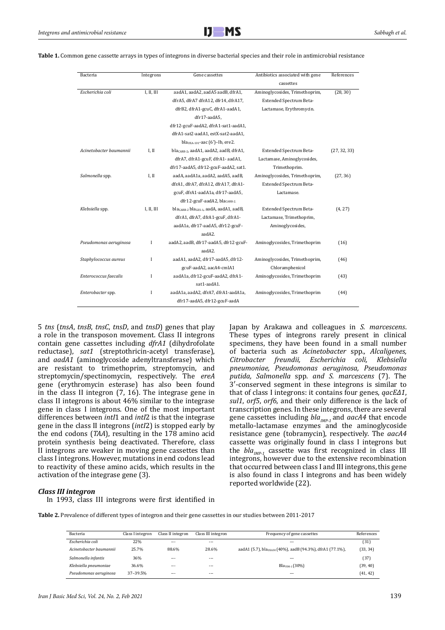| Bacteria                | Integrons  | Gene cassettes                                                  | Antibiotics associated with gene | References   |
|-------------------------|------------|-----------------------------------------------------------------|----------------------------------|--------------|
|                         |            |                                                                 | cassettes                        |              |
| Escherichia coli        | I, II, III | aadA1, aadA2, aadA5 aadB, dfrA1,                                | Aminoglycosides, Trimethoprim,   | (28, 30)     |
|                         |            | dfrA5, dfrA7 dfrA12, dfr14, dfrA17,                             | Extended Spectrum Beta-          |              |
|                         |            | dfrB2, dfrA1-gcuC, dfrA1-aadA1,                                 | Lactamase, Erythromycin.         |              |
|                         |            | dfr17-aadA5.                                                    |                                  |              |
|                         |            | dfr12-gcuF-aadA2, dfrA1-sat1-aadA1,                             |                                  |              |
|                         |            | dfrA1-sat2-aadA1, estX-sat2-aadA1,                              |                                  |              |
|                         |            | bla <sub>0XA-101</sub> -aac $(6')$ -Ib, ere2.                   |                                  |              |
| Acinetobacter baumannii | I, II      | bla <sub>CARB-2</sub> , aadA1, aadA2, aadB, dfrA1,              | Extended Spectrum Beta-          | (27, 32, 33) |
|                         |            | dfrA7, dfrA1-gcuF, dfrA1- aadA1,                                | Lactamase, Aminoglycosides,      |              |
|                         |            | dfr17-aadA5, dfr12-gcuF-aadA2, sat1.                            | Trimethoprim.                    |              |
| Salmonella spp.         | I, II      | aadA, aadA1a, aadA2, aadA5, aadB,                               | Aminoglycosides, Trimethoprim,   | (27, 36)     |
|                         |            | dfrA1, dfrA7, dfrA12, dfrA17, dfrA1-                            | Extended Spectrum Beta-          |              |
|                         |            | gcuF, dfrA1-aadA1a, dfr17-aadA5,                                | Lactamase.                       |              |
|                         |            | dfr12-gcuF-aadA2, blacARB-2.                                    |                                  |              |
| Klebsiella spp.         | I, II, III | bla <sub>CARB-2</sub> bla <sub>GES-1</sub> , aadA, aadA1, aadB, | Extended Spectrum Beta-          | (4, 27)      |
|                         |            | dfrA1, dfrA7, dfrA1-gcuF, dfrA1-                                | Lactamase, Trimethoprim,         |              |
|                         |            | aadA1a, dfr17-aadA5, dfr12-gcuF-                                | Aminoglycosides,                 |              |
|                         |            | aadA2.                                                          |                                  |              |
| Pseudomonas aeruginosa  | I          | aadA2, aadB, dfr17-aadA5, dfr12-gcuF-                           | Aminoglycosides, Trimethoprim    | (16)         |
|                         |            | aadA2.                                                          |                                  |              |
| Staphylococcus aureus   | I          | aadA1, aadA2, dfr17-aadA5, dfr12-                               | Aminoglycosides, Trimethoprim,   | (46)         |
|                         |            | gcuF-aadA2, aacA4-cmlA1                                         | Chloramphenicol                  |              |
| Enterococcus faecalis   | I          | aadA1a, dfr12-gcuF-aadA2, dfrA1-                                | Aminoglycosides, Trimethoprim    | (43)         |
|                         |            | sat1-aadA1.                                                     |                                  |              |
| Enterobacter spp.       | I          | aadA1a, aadA2, dfrA7, dfrA1-aadA1a,                             | Aminoglycosides, Trimethoprim    | (44)         |
|                         |            | dfr17-aadA5, dfr12-gcuF-aadA                                    |                                  |              |

**Table 1.** Common gene cassette arrays in types of integrons in diverse bacterial species and their role in antimicrobial resistance

5 *tns* (*tnsA*, *tnsB*, *tnsC*, *tnsD*, and *tnsD*) genes that play a role in the transposon movement. Class II integrons contain gene cassettes including *dfrA1* (dihydrofolate reductase), *sat1* (streptothricin-acetyl transferase), and *aadA1* (aminoglycoside adenyltransferase) which are resistant to trimethoprim, streptomycin, and streptomycin/spectinomycin, respectively. The *ereA* gene (erythromycin esterase) has also been found in the class II integron (7, 16). The integrase gene in class II integrons is about 46% similar to the integrase gene in class I integrons. One of the most important differences between *intI*1 and *intI*2 is that the integrase gene in the class II integrons (*intI*2) is stopped early by the end codons (*TAA*), resulting in the 178 amino acid protein synthesis being deactivated. Therefore, class II integrons are weaker in moving gene cassettes than class I integrons. However, mutations in end codons lead to reactivity of these amino acids, which results in the activation of the integrase gene (3).

Japan by Arakawa and colleagues in *S. marcescens*. These types of integrons rarely present in clinical specimens, they have been found in a small number of bacteria such as *Acinetobacter* spp*., Alcaligenes, Citrobacter freundii, Escherichia coli, Klebsiella pneumoniae, Pseudomonas aeruginosa, Pseudomonas putida, Salmonella* spp*. and S. marcescens* (7). The 3′-conserved segment in these integrons is similar to that of class I integrons: it contains four genes, *qacEΔ1*, *sul1*, *orf5*, *orf6*, and their only difference is the lack of transcription genes. In these integrons, there are several gene cassettes including  $bla_{MP-1}$  and  $aacA4$  that encode metallo-lactamase enzymes and the aminoglycoside resistance gene (tobramycin), respectively. The *aacA4* cassette was originally found in class I integrons but the  $bla_{IMP-1}$  cassette was first recognized in class III integrons, however due to the extensive recombination that occurred between class I and III integrons, this gene is also found in class I integrons and has been widely reported worldwide (22).

## *Class III integron*

In 1993, class III integrons were first identified in

**Table 2.** Prevalence of different types of integron and their gene cassettes in our studies between 2011-2017

| Bacteria                | Class I integron | Class II integron | Class III integron | Frequency of gene cassettes                                           | References |
|-------------------------|------------------|-------------------|--------------------|-----------------------------------------------------------------------|------------|
| Escherichia coli        | 22%              | $- - -$           | $- - -$            | $-$                                                                   | (31)       |
| Acinetobacter baumannii | 25.7%            | 88.6%             | 28.6%              | aadA1 (5.7), bla <sub>0XA30</sub> (40%), aadB (94.3%), dfrA1 (77.1%), | (33, 34)   |
| Salmonella infantis     | 36%              | $- - -$           | $- - -$            | $- - -$                                                               | (37)       |
| Klebsiella pneumoniae   | 36.6%            | $- - -$           | $- - -$            | $BlavIM-1(30%)$                                                       | (39, 40)   |
| Pseudomonas aeruginosa  | 37-39.5%         | $- - -$           | $- - -$            | $- - -$                                                               | (41, 42)   |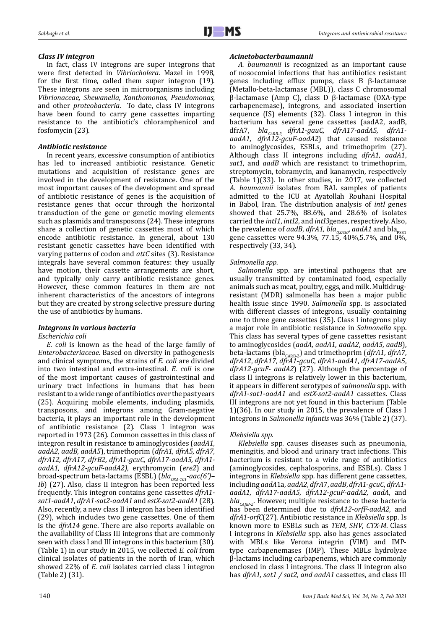## *Class IV integron*

In fact, class IV integrons are super integrons that were first detected in *Vibriocholera*. Mazel in 1998, for the first time, called them super integron (19). These integrons are seen in microorganisms including *Vibrionaceae, Shewanella, Xanthomonas, Pseudomonas,*  and other *proteobacteria*. To date, class IV integrons have been found to carry gene cassettes imparting resistance to the antibiotic's chloramphenicol and fosfomycin (23).

## *Antibiotic resistance*

In recent years, excessive consumption of antibiotics has led to increased antibiotic resistance. Genetic mutations and acquisition of resistance genes are involved in the development of resistance. One of the most important causes of the development and spread of antibiotic resistance of genes is the acquisition of resistance genes that occur through the horizontal transduction of the gene or genetic moving elements such as plasmids and transposons (24). These integrons share a collection of genetic cassettes most of which encode antibiotic resistance. In general, about 130 resistant genetic cassettes have been identified with varying patterns of codon and *attC* sites (3). Resistance integrals have several common features: they usually have motion, their cassette arrangements are short, and typically only carry antibiotic resistance genes. However, these common features in them are not inherent characteristics of the ancestors of integrons but they are created by strong selective pressure during the use of antibiotics by humans.

# *Integrons in various bacteria*

## *Escherichia coli*

*E. coli* is known as the head of the large family of *Enterobacteriaceae*. Based on diversity in pathogenesis and clinical symptoms, the strains of *E. coli* are divided into two intestinal and extra-intestinal. *E. coli* is one of the most important causes of gastrointestinal and urinary tract infections in humans that has been resistant to a wide range of antibiotics over the past years (25). Acquiring mobile elements, including plasmids, transposons, and integrons among Gram-negative bacteria, it plays an important role in the development of antibiotic resistance (2). Class I integron was reported in 1973 (26). Common cassettes in this class of integron result in resistance to aminoglycosides (*aadA1, aadA2, aadB, aadA5*), trimethoprim (*dfrA1, dfrA5, dfrA7, dfrA12, dfrA17, dfrB2, dfrA1-gcuC, dfrA17-aadA5, dfrA1 aadA1, dfrA12-gcuF-aadA2),* erythromycin (*ere2*) and broad-spectrum beta-lactams (ESBL) (*blaOXA-101-aac(6')– Ib*) (27). Also, class II integron has been reported less frequently. This integron contains gene cassettes *dfrA1 sat1-aadA1*, *dfrA1-sat2-aadA1* and *estX-sat2-aadA1* (28). Also, recently, a new class II integron has been identified (29), which includes two gene cassettes. One of them is the *dfrA14* gene. There are also reports available on the availability of Class III integrons that are commonly seen with class I and III integrons in this bacterium (30). (Table 1) in our study in 2015, we collected *E. coli* from clinical isolates of patients in the north of Iran, which showed 22% of *E. coli* isolates carried class I integron (Table 2) (31).

## *Acinetobacterbaumannii*

*A. baumannii* is recognized as an important cause of nosocomial infections that has antibiotics resistant genes including efflux pumps, class B β-lactamase (Metallo-beta-lactamase (MBL)), class C chromosomal β-lactamase (Amp C), class D β-lactamase (OXA-type carbapenemase), integrons, and associated insertion sequence (IS) elements (32). Class I integron in this bacterium has several gene cassettes (aadA2, aadB, dfrA7, *bla<sub>CARB-2,</sub> dfrA1-gauC, dfrA17-aadA5, dfrA1aadA1*, *dfrA12-gcuF-aadA2*) that caused resistance to aminoglycosides, ESBLs, and trimethoprim (27). Although class II integrons including *dfrA1, aadA1*, *sat1*, and *aadB* which are resistanct to trimethoprim, streptomycin, tobramycin, and kanamycin, respectively (Table 1)(33). In other studies, in 2017, we collected *A. baumannii* isolates from BAL samples of patients admitted to the ICU at Ayatollah Rouhani Hospital in Babol, Iran. The distribution analysis of *intI* genes showed that 25.7%, 88.6%, and 28.6% of isolates carried the *intI1*, *intI2*, and *intI3*genes, respectively. Also, the prevalence of *aadB*, *dfrA1*, *bla*<sub>*OXA30*</sub>, *aadA1* and *bla*<sub>PSE1</sub> gene cassettes were  $94.3\%$ ,  $77.15, 40\%$ ,  $5.7\%$ , and  $0\%$ , respectively (33, 34).

# *Salmonella spp.*

*Salmonella* spp*.* are intestinal pathogens that are usually transmitted by contaminated food, especially animals such as meat, poultry, eggs, and milk. Multidrugresistant (MDR) salmonella has been a major public health issue since 1990. *Salmonella* spp*.* is associated with different classes of integrons, usually containing one to three gene cassettes (35). Class I integrons play a major role in antibiotic resistance in *Salmonella* spp. This class has several types of gene cassettes resistant to aminoglycosides (*aadA*, *aadA1*, *aadA2*, *aadA5*, *aadB*), beta-lactams (bla<sub>CARB-2</sub>) and trimethoprim (*dfrA1*, *dfrA7*, *dfrA12*, *dfrA17*, *dfrA1*-*gcuC*, *dfrA1*-*aadA1*, *dfrA17*-*aadA5*, *dfrA12*-*gcuF*- *aadA2*) (27). Although the percentage of class II integrons is relatively lower in this bacterium, it appears in different serotypes of *salmonella* spp*.* with *dfrA1*-*sat1*-*aadA1* and *estX-sat2-aadA1* cassettes. Class III integrons are not yet found in this bacterium (Table 1)(36). In our study in 2015, the prevalence of Class I integrons in *Salmonella infantis* was 36% (Table 2) (37).

# *Klebsiella spp.*

*Klebsiella* spp*.* causes diseases such as pneumonia, meningitis, and blood and urinary tract infections. This bacterium is resistant to a wide range of antibiotics (aminoglycosides, cephalosporins, and ESBLs). Class I integrons in *Klebsiella* spp*.* has different gene cassettes, including *aadA*1a, *aadA2, dfrA*7, *aadB*, *dfrA1*-*gcuC*, *dfrA1 aadA1*, *dfrA17*-*aadA5*, *dfrA12*-*gcuF*-*aadA2, aadA*, and *bla<sub>CARB-2</sub>*. However, multiple resistance to these bacteria has been determined due to *dfrA12-orfF-aadA2,* and *dfrA1-orfC*(27). Antibiotic resistance in *Klebsiella* spp*.* Is known more to ESBLs such as *TEM*, *SHV*, *CTX-M*. Class I integrons in *Klebsiella* spp. also has genes associated with MBLs like Verona integrin (VIM) and IMPtype carbapenemases (IMP). These MBLs hydrolyze β-lactams including carbapenems, which are commonly enclosed in class I integrons. The class II integron also has *dfrA1, sat1 / sat2, and aadA1* cassettes, and class III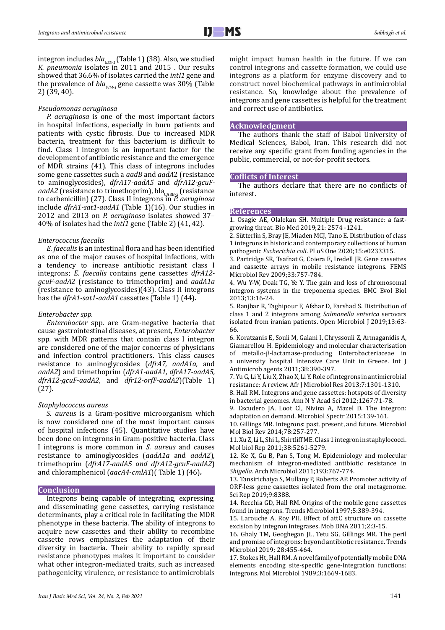integron includes *blaGES-1* (Table 1) (38). Also, we studied *K. pneumonia* isolates in 2011 and 2015 . Our results showed that 36.6% of isolates carried the *intI1* gene and the prevalence of *blaVIM-1* gene cassette was 30% (Table 2) (39, 40).

## *Pseudomonas aeruginosa*

*P. aeruginosa* is one of the most important factors in hospital infections, especially in burn patients and patients with cystic fibrosis. Due to increased MDR bacteria, treatment for this bacterium is difficult to find. Class I integron is an important factor for the development of antibiotic resistance and the emergence of MDR strains (41). This class of integrons includes some gene cassettes such a *aadB* and *aadA*2 (resistance to aminoglycosides), *dfrA17-aadA5* and *dfrA12-gcuF*aadA2 (resistance to trimethoprim), bla<sub>CARB-2</sub> (resistance to carbenicillin) (27). Class II integrons in *P. aeruginosa* include *dfrA1-sat1-aadA1* (Table 1)(16). Our studies in 2012 and 2013 on *P. aeruginosa* isolates showed 37– 40% of isolates had the *intI1* gene (Table 2) (41, 42).

#### *Enterococcus faecalis*

*E. faecalis* is an intestinal flora and has been identified as one of the major causes of hospital infections, with a tendency to increase antibiotic resistant class I integrons; *E. faecalis* contains gene cassettes *dfrA12 gcuF-aadA2* (resistance to trimethoprim) and *aadA1a*  (resistance to aminoglycosides)(43). Class II integrons has the *dfrA1-sat1-aadA1* cassettes (Table 1) (44)*.*

#### *Enterobacter spp.*

*Enterobacter* spp*.* are Gram-negative bacteria that cause gastrointestinal diseases, at present, *Enterobacter*  spp*.* with MDR patterns that contain class I integron are considered one of the major concerns of physicians and infection control practitioners. This class causes resistance to aminoglycosides (*dfrA7, aadA1a,* and *aadA2*) and trimethoprim (*dfrA1-aadA1, dfrA17-aadA5, dfrA12-gcuF-aadA2*, and *dfr12-orfF-aadA2*)(Table 1) (27)*.*

#### *Staphylococcus aureus*

*S. aureus* is a Gram-positive microorganism which is now considered one of the most important causes of hospital infections (45). Quantitative studies have been done on integrons in Gram-positive bacteria. Class I integrons is more common in *S. aureus* and causes resistance to aminoglycosides (*aadA1a* and *aadA2*), trimethoprim (*dfrA17-aadA5 and dfrA12-gcuF-aadA2*) and chloramphenicol (*aacA4*-*cmlA1*)( Table 1) (46)*.*

## **Conclusion**

Integrons being capable of integrating, expressing, and disseminating gene cassettes, carrying resistance determinants, play a critical role in facilitating the MDR phenotype in these bacteria. The ability of integrons to acquire new cassettes and their ability to recombine cassette rows emphasizes the adaptation of their diversity in bacteria. Their ability to rapidly spread resistance phenotypes makes it important to consider what other integron-mediated traits, such as increased pathogenicity, virulence, or resistance to antimicrobials might impact human health in the future. If we can control integrons and cassette formation, we could use integrons as a platform for enzyme discovery and to construct novel biochemical pathways in antimicrobial resistance. So, knowledge about the prevalence of integrons and gene cassettes is helpful for the treatment and correct use of antibiotics.

#### **Acknowledgment**

The authors thank the staff of Babol University of Medical Sciences, Babol, Iran. This research did not receive any specific grant from funding agencies in the public, commercial, or not-for-profit sectors.

# **Coflicts of Interest**

The authors declare that there are no conflicts of interest.

#### **References**

1. Osagie AE, Olalekan SH. Multiple Drug resistance: a fastgrowing threat. Bio Med 2019;21: 2574 -1241.

2. [Sütterlin](https://www.ncbi.nlm.nih.gov/pubmed/?term=S%26%23x000fc%3Btterlin%20S%5BAuthor%5D&cauthor=true&cauthor_uid=32484827) S, Bray JE, Miaden MCJ, Tano E. Distribution of class 1 integrons in historic and contemporary collections of human pathogenic *Escherichia coli*. [PLoS One](https://www.ncbi.nlm.nih.gov/pmc/articles/PMC7266292/) 2020;15:e0233315.

3. Partridge SR, Tsafnat G, Coiera E, Iredell JR. Gene cassettes and cassette arrays in mobile resistance integrons. FEMS Microbiol Rev 2009;33:757-784.

4. Wu Y-W, Doak TG, Ye Y. The gain and loss of chromosomal integron systems in the treponema species. BMC Evol Biol 2013;13:16-24.

5. Ranjbar R, Taghipour F, Afshar D, Farshad S. Distribution of class 1 and 2 integrons among *Salmonella enterica* serovars isolated from iranian patients. Open Microbiol J 2019;13:63- 66.

6. Koratzanis E, Souli M, Galani I, Chryssouli Z, Armaganidis A, Giamarellou H. Epidemiology and molecular characterisation of metallo-β-lactamase-producing Enterobacteriaceae in a university hospital Intensive Care Unit in Greece. Int J Antimicrob agents 2011;38:390-397.

7. Yu G, Li Y, Liu X, Zhao X, Li Y. Role of integrons in antimicrobial resistance: A review. Afr J Microbiol Res 2013;7:1301-1310.

8. Hall RM. Integrons and gene cassettes: hotspots of diversity in bacterial genomes. Ann N Y Acad Sci 2012;1267:71-78.

9. Escudero JA, Loot Cl, Nivina A, Mazel D. The integron: adaptation on demand. Microbiol Spectr 2015:139-161.

10. Gillings MR. Integrons: past, present, and future. Microbiol Mol Biol Rev 2014;78:257-277.

11. Xu Z, Li L, Shi L, Shirtliff ME. Class 1 integron in staphylococci. Mol biol Rep 2011;38:5261-5279.

12. Ke X, Gu B, Pan S, Tong M. Epidemiology and molecular mechanism of integron-mediated antibiotic resistance in *Shigella*. Arch Microbiol 2011;193:767-774.

13. [Tansirichaiya](file:///D:/golara/Kafi/E/ADD/2021/Feb-2021/11208-Rev/javascript:;) S, [Mullany](file:///D:/golara/Kafi/E/ADD/2021/Feb-2021/11208-Rev/javascript:;) P, [Roberts](file:///D:/golara/Kafi/E/ADD/2021/Feb-2021/11208-Rev/javascript:;) AP. Promoter activity of ORF-less gene cassettes isolated from the oral metagenome. Sci Rep 2019;9:8388.

14. Recchia GD, Hall RM. Origins of the mobile gene cassettes found in integrons. Trends Microbiol 1997;5:389-394.

15. Larouche A, Roy PH. Effect of attC structure on cassette excision by integron integrases. Mob DNA 2011;2:3-15.

16. Ghaly TM, Geoghegan JL, Tetu SG, Gillings MR. The peril and promise of integrons: beyond antibiotic resistance. Trends Microbiol 2019; 28:455-464.

17. Stokes Ht, Hall RM. A novel family of potentially mobile DNA elements encoding site-specific gene-integration functions: integrons. Mol Microbiol 1989;3:1669-1683.